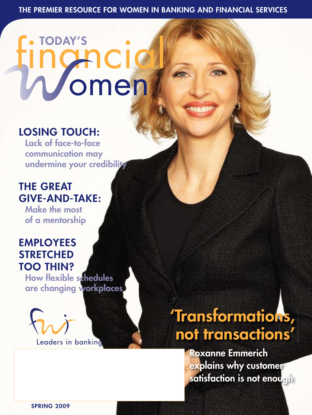# **TODAY'S** ICIC omen

## LOSING TOUCH:

lack of face-to-face communication may undermine your credibility

## **THE GREAT** GiVe-and-TaKe:

Make the most of a mentorship

### **EMPLOYEES STRETCHED** Too Thin?

How flexible schedules are changing workplaces



'Transformations, not transactions'

> **Roxanne Emmerich** explains why customer satisfaction is not enough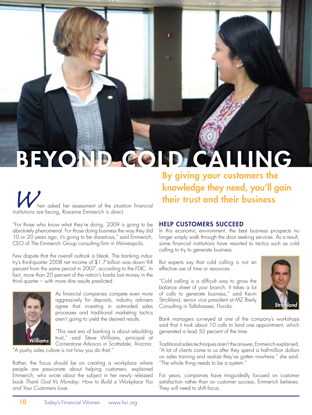## BEYOND COLD CALLING

hen asked her assessment of the situation financial institutions are facing, Roxanne Emmerich is direct.

"For those who know what they're doing, 2009 is going to be absolutely phenomenal. For those doing business the way they did 10 or 20 years ago, it's going to be disastrous," said Emmerich, CEO of The Emmerich Group consulting firm in Minneapolis.

Few dispute that the overall outlook is bleak. The banking industry's third-quarter 2008 net income of \$1.7 billion was down 94 percent from the same period in 2007, according to the FDIC. In fact, more than 20 percent of the nation's banks lost money in the third quarter – with more dire results predicted.



As financial companies compete even more aggressively for deposits, industry advisers agree that investing in outmoded sales processes and traditional marketing tactics aren't going to yield the desired results.

"This next era of banking is about rebuilding trust," said Steve Williams, principal at Cornerstone Advisors in Scottsdale, Arizona.

"A pushy sales culture is not how you do that."

Rather, the focus should be on creating a workplace where people are passionate about helping customers, explained Emmerich, who wrote about the subject in her newly released book *Thank God It's Monday: How to Build a Workplace You and Your Customers Love.*

By giving your customers the knowledge they need, you'll gain their trust and their business

### help cUsTomeRs sUcceed

In this economic environment, the best business prospects no longer simply walk through the door seeking services. As a result, some financial institutions have resorted to tactics such as cold calling to try to generate business.

But experts say that cold calling is not an effective use of time or resources.

"Cold calling is a difficult way to grow the balance sheet of your branch. It takes a lot of calls to generate business," said Kevin Strickland, senior vice president at MZ Bierly Consulting in Tallahassee, Florida.



Bank managers surveyed at one of the company's workshops said that it took about 10 calls to land one appointment, which generated a lead 50 percent of the time.

Traditional sales techniques aren't the answer, Emmerich explained. "A lot of clients come to us after they spend a half-million dollars on sales training and realize they've gotten nowhere," she said. "The whole thing needs to be a system."

For years, companies have misguidedly focused on customer satisfaction rather than on customer success, Emmerich believes. They will need to shift focus.